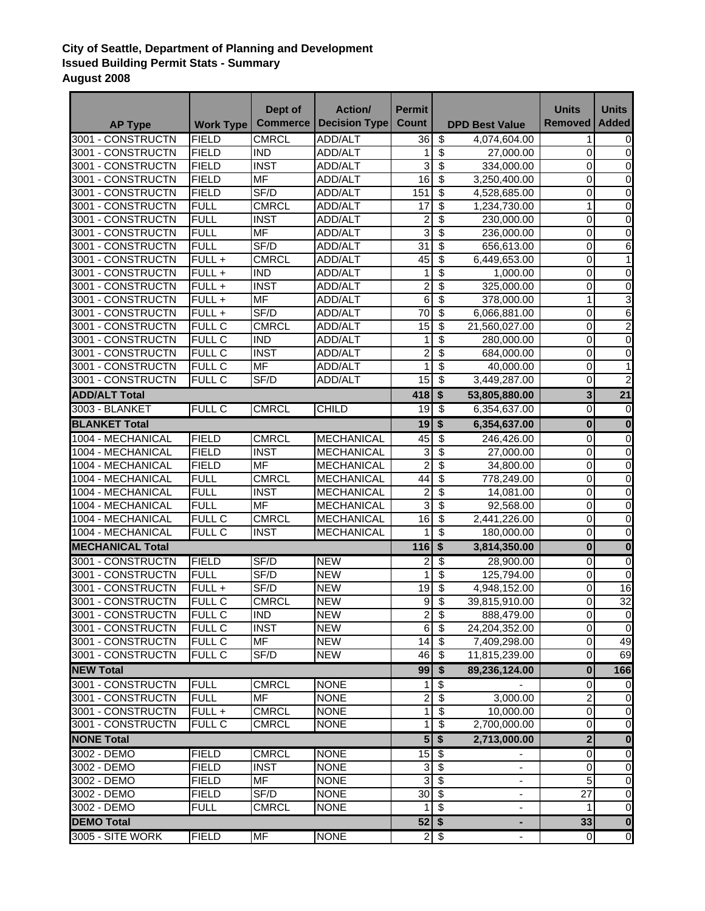## **City of Seattle, Department of Planning and Development Issued Building Permit Stats - Summary August 2008**

|                         |                  | Dept of                  | <b>Action/</b>           | <b>Permit</b>           |                                  |                       | <b>Units</b>            | <b>Units</b>            |
|-------------------------|------------------|--------------------------|--------------------------|-------------------------|----------------------------------|-----------------------|-------------------------|-------------------------|
| <b>AP Type</b>          | <b>Work Type</b> | <b>Commerce</b>          | <b>Decision Type</b>     | <b>Count</b>            |                                  | <b>DPD Best Value</b> | Removed                 | <b>Added</b>            |
| 3001 - CONSTRUCTN       | <b>FIELD</b>     | <b>CMRCL</b>             | <b>ADD/ALT</b>           | 36                      | $\overline{\mathcal{E}}$         | 4,074,604.00          | $\mathbf{1}$            | 0                       |
| 3001 - CONSTRUCTN       | <b>FIELD</b>     | <b>IND</b>               | ADD/ALT                  | 1                       | \$                               | 27,000.00             | 0                       | $\mathbf 0$             |
| 3001 - CONSTRUCTN       | <b>FIELD</b>     | <b>INST</b>              | ADD/ALT                  | 3                       | $\overline{\boldsymbol{\theta}}$ | 334,000.00            | 0                       | 0                       |
| 3001 - CONSTRUCTN       | <b>FIELD</b>     | <b>MF</b>                | ADD/ALT                  | 16                      | \$                               | 3,250,400.00          | 0                       | 0                       |
| 3001 - CONSTRUCTN       | <b>FIELD</b>     | SF/D                     | ADD/ALT                  | 151                     | \$                               | 4,528,685.00          | 0                       | 0                       |
| 3001 - CONSTRUCTN       | <b>FULL</b>      | <b>CMRCL</b>             | ADD/ALT                  | 17                      | \$                               | 1,234,730.00          | 1                       | $\boldsymbol{0}$        |
| 3001 - CONSTRUCTN       | <b>FULL</b>      | <b>INST</b>              | ADD/ALT                  | $\overline{\mathbf{c}}$ | \$                               | 230,000.00            | 0                       | $\pmb{0}$               |
| 3001 - CONSTRUCTN       | <b>FULL</b>      | <b>MF</b>                | ADD/ALT                  | 3                       | \$                               | 236,000.00            | 0                       | $\pmb{0}$               |
| 3001 - CONSTRUCTN       | <b>FULL</b>      | SF/D                     | ADD/ALT                  | 31                      | \$                               | 656,613.00            | 0                       | 6                       |
| 3001 - CONSTRUCTN       | FULL +           | <b>CMRCL</b>             | <b>ADD/ALT</b>           | 45                      | $\overline{\mathcal{S}}$         | 6,449,653.00          | 0                       | $\mathbf{1}$            |
| 3001 - CONSTRUCTN       | FULL +           | <b>IND</b>               | ADD/ALT                  | 1                       | \$                               | 1,000.00              | $\pmb{0}$               | $\boldsymbol{0}$        |
| 3001 - CONSTRUCTN       | $FUL +$          | <b>INST</b>              | ADD/ALT                  | $\overline{\mathbf{c}}$ | \$                               | 325,000.00            | 0                       | $\pmb{0}$               |
| 3001 - CONSTRUCTN       | $FUL +$          | $\overline{\mathsf{MF}}$ | ADD/ALT                  | $\overline{6}$          | $\overline{\$}$                  | 378,000.00            | $\mathbf{1}$            | 3                       |
| 3001 - CONSTRUCTN       | $FUL +$          | SF/D                     | ADD/ALT                  | $\overline{70}$         | $\overline{\$}$                  | 6,066,881.00          | 0                       | $\overline{6}$          |
| 3001 - CONSTRUCTN       | <b>FULL C</b>    | <b>CMRCL</b>             | <b>ADD/ALT</b>           | $\overline{15}$         | $\overline{\$}$                  | 21,560,027.00         | 0                       | $\overline{2}$          |
| 3001 - CONSTRUCTN       | <b>FULL C</b>    | <b>IND</b>               | ADD/ALT                  | 1                       | \$                               | 280,000.00            | 0                       | 0                       |
| 3001 - CONSTRUCTN       | <b>FULL C</b>    | <b>INST</b>              | ADD/ALT                  | $\overline{c}$          | \$                               | 684,000.00            | 0                       | 0                       |
| 3001 - CONSTRUCTN       | <b>FULL C</b>    | $\overline{\mathsf{MF}}$ | ADD/ALT                  | 1                       | \$                               | 40,000.00             | 0                       | 1                       |
| 3001 - CONSTRUCTN       | <b>FULL C</b>    | SF/D                     | <b>ADD/ALT</b>           | 15                      | $\overline{\$}$                  | 3,449,287.00          | 0                       | $\overline{2}$          |
| <b>ADD/ALT Total</b>    |                  |                          |                          | 418                     | $\overline{\bullet}$             | 53,805,880.00         | $\overline{\mathbf{3}}$ | $\overline{21}$         |
| 3003 - BLANKET          | <b>FULL C</b>    | <b>CMRCL</b>             | <b>CHILD</b>             | 19                      | $\overline{\$}$                  | 6,354,637.00          | 0                       | $\pmb{0}$               |
| <b>BLANKET Total</b>    |                  |                          |                          | 19                      | $\overline{\mathbf{S}}$          | 6,354,637.00          | $\bf{0}$                | $\bf{0}$                |
| 1004 - MECHANICAL       | <b>FIELD</b>     | <b>CMRCL</b>             | <b>MECHANICAL</b>        | 45                      | \$                               | 246,426.00            | $\pmb{0}$               | $\overline{0}$          |
| 1004 - MECHANICAL       | <b>FIELD</b>     | <b>INST</b>              | <b>MECHANICAL</b>        | 3                       | \$                               | 27,000.00             | 0                       | $\mathbf 0$             |
| 1004 - MECHANICAL       | <b>FIELD</b>     | <b>MF</b>                | MECHANICAL               | $\overline{2}$          | $\overline{\$}$                  | 34,800.00             | 0                       | 0                       |
| 1004 - MECHANICAL       | <b>FULL</b>      | <b>CMRCL</b>             | MECHANICAL               | $\overline{44}$         | \$                               | 778,249.00            | 0                       | 0                       |
| 1004 - MECHANICAL       | <b>FULL</b>      | <b>INST</b>              | <b>MECHANICAL</b>        | $\overline{2}$          | \$                               | 14,081.00             | 0                       | $\overline{0}$          |
| 1004 - MECHANICAL       | <b>FULL</b>      | <b>MF</b>                | <b>MECHANICAL</b>        | 3                       | \$                               | 92,568.00             | 0                       | 0                       |
| 1004 - MECHANICAL       | <b>FULL C</b>    | <b>CMRCL</b>             | MECHANICAL               | 16                      | $\overline{\boldsymbol{\theta}}$ | 2,441,226.00          | 0                       | 0                       |
| 1004 - MECHANICAL       | <b>FULL C</b>    | <b>INST</b>              | <b>MECHANICAL</b>        | 1                       | $\overline{\mathcal{S}}$         | 180,000.00            | 0                       | 0                       |
| <b>MECHANICAL Total</b> |                  |                          |                          | 116                     | $\overline{\mathbf{S}}$          | 3,814,350.00          | $\bf{0}$                | $\overline{\mathbf{0}}$ |
| 3001 - CONSTRUCTN       | <b>FIELD</b>     |                          |                          |                         |                                  |                       |                         |                         |
| 3001 - CONSTRUCTN       | <b>FULL</b>      | SF/D<br>SF/D             | <b>NEW</b><br><b>NEW</b> | 2<br>1                  | \$<br>$\overline{\$}$            | 28,900.00             | $\overline{0}$          | 0<br>$\mathbf 0$        |
|                         | $FULL +$         |                          |                          |                         |                                  | 125,794.00            | 0                       |                         |
| 3001 - CONSTRUCTN       |                  | SF/D                     | <b>NEW</b>               | 19                      | $\overline{\boldsymbol{\theta}}$ | 4,948,152.00          | 0                       | 16<br>$\overline{32}$   |
| 3001 - CONSTRUCTN       | <b>FULL C</b>    | <b>CMRCL</b>             | <b>NEW</b>               | 9                       | $\overline{\mathcal{S}}$         | 39,815,910.00         | 0                       |                         |
| 3001 - CONSTRUCTN       | <b>FULL C</b>    | <b>IND</b>               | <b>NEW</b>               | $\mathbf{2}$            | \$                               | 888,479.00            | $\overline{O}$          | 0                       |
| 3001 - CONSTRUCTN       | <b>FULL C</b>    | <b>INST</b>              | <b>NEW</b>               | 6                       | $\overline{\mathcal{S}}$         | 24,204,352.00         | $\mathbf{0}$            | $\pmb{0}$               |
| 3001 - CONSTRUCTN       | <b>FULL C</b>    | MF                       | <b>NEW</b>               | 14                      | \$                               | 7,409,298.00          | $\overline{0}$          | 49<br>69                |
| 3001 - CONSTRUCTN       | <b>FULL C</b>    | SF/D                     | <b>NEW</b>               | 46                      | \$                               | 11,815,239.00         | $\overline{0}$          |                         |
| <b>NEW Total</b>        |                  |                          |                          | 99                      | \$                               | 89,236,124.00         | $\mathbf{0}$            | 166                     |
| 3001 - CONSTRUCTN       | <b>FULL</b>      | <b>CMRCL</b>             | <b>NONE</b>              | 1                       | $\overline{\$}$                  |                       | $\overline{0}$          | 0                       |
| 3001 - CONSTRUCTN       | <b>FULL</b>      | MF                       | <b>NONE</b>              | 2                       | $\overline{\mathbf{S}}$          | 3,000.00              | $\overline{a}$          | 0                       |
| 3001 - CONSTRUCTN       | FULL +           | <b>CMRCL</b>             | <b>NONE</b>              | 1                       | $\overline{\mathbf{s}}$          | 10,000.00             | $\mathbf 0$             | 0                       |
| 3001 - CONSTRUCTN       | <b>FULL C</b>    | <b>CMRCL</b>             | <b>NONE</b>              | 1<br>5 <sub>l</sub>     | $\overline{\$}$                  | 2,700,000.00          | $\overline{0}$          | $\overline{\mathsf{o}}$ |
| <b>NONE Total</b>       |                  |                          |                          |                         | $\overline{\bullet}$             | 2,713,000.00          | $\overline{2}$          | $\bf{0}$                |
| 3002 - DEMO             | <b>FIELD</b>     | <b>CMRCL</b>             | <b>NONE</b>              | 15                      | $\sqrt{3}$                       |                       | $\overline{0}$          | 0                       |
| 3002 - DEMO             | <b>FIELD</b>     | <b>INST</b>              | <b>NONE</b>              | 3                       | $\overline{\mathbf{3}}$          |                       | 0                       | 0                       |
| 3002 - DEMO             | <b>FIELD</b>     | MF                       | <b>NONE</b>              | 3                       | $\overline{\mathcal{S}}$         |                       | 5                       | 0                       |
| 3002 - DEMO             | <b>FIELD</b>     | SF/D                     | <b>NONE</b>              | 30                      | $\overline{\mathbf{3}}$          | $\blacksquare$        | 27                      | 0                       |
| 3002 - DEMO             | <b>FULL</b>      | <b>CMRCL</b>             | <b>NONE</b>              | 1                       | $\overline{\$}$                  | $\blacksquare$        | $\mathbf{1}$            | $\overline{0}$          |
| <b>DEMO Total</b>       |                  |                          |                          | $52$ \$                 |                                  |                       | 33                      | $\mathbf 0$             |
| 3005 - SITE WORK        | <b>FIELD</b>     | MF                       | <b>NONE</b>              |                         | $2 \sqrt{3}$                     |                       | $\overline{0}$          | O                       |